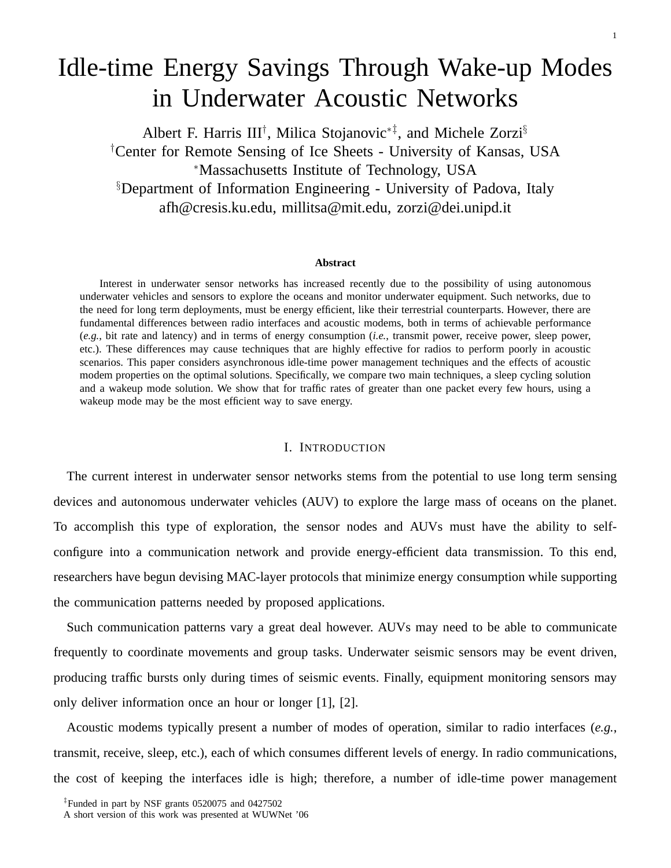# Idle-time Energy Savings Through Wake-up Modes in Underwater Acoustic Networks

Albert F. Harris III<sup>†</sup>, Milica Stojanovic<sup>∗‡</sup>, and Michele Zorzi<sup>§</sup> †Center for Remote Sensing of Ice Sheets - University of Kansas, USA <sup>∗</sup>Massachusetts Institute of Technology, USA §Department of Information Engineering - University of Padova, Italy afh@cresis.ku.edu, millitsa@mit.edu, zorzi@dei.unipd.it

#### **Abstract**

Interest in underwater sensor networks has increased recently due to the possibility of using autonomous underwater vehicles and sensors to explore the oceans and monitor underwater equipment. Such networks, due to the need for long term deployments, must be energy efficient, like their terrestrial counterparts. However, there are fundamental differences between radio interfaces and acoustic modems, both in terms of achievable performance (*e.g.*, bit rate and latency) and in terms of energy consumption (*i.e.*, transmit power, receive power, sleep power, etc.). These differences may cause techniques that are highly effective for radios to perform poorly in acoustic scenarios. This paper considers asynchronous idle-time power management techniques and the effects of acoustic modem properties on the optimal solutions. Specifically, we compare two main techniques, a sleep cycling solution and a wakeup mode solution. We show that for traffic rates of greater than one packet every few hours, using a wakeup mode may be the most efficient way to save energy.

#### I. INTRODUCTION

The current interest in underwater sensor networks stems from the potential to use long term sensing devices and autonomous underwater vehicles (AUV) to explore the large mass of oceans on the planet. To accomplish this type of exploration, the sensor nodes and AUVs must have the ability to selfconfigure into a communication network and provide energy-efficient data transmission. To this end, researchers have begun devising MAC-layer protocols that minimize energy consumption while supporting the communication patterns needed by proposed applications.

Such communication patterns vary a great deal however. AUVs may need to be able to communicate frequently to coordinate movements and group tasks. Underwater seismic sensors may be event driven, producing traffic bursts only during times of seismic events. Finally, equipment monitoring sensors may only deliver information once an hour or longer [1], [2].

Acoustic modems typically present a number of modes of operation, similar to radio interfaces (*e.g.*, transmit, receive, sleep, etc.), each of which consumes different levels of energy. In radio communications, the cost of keeping the interfaces idle is high; therefore, a number of idle-time power management

<sup>‡</sup> Funded in part by NSF grants 0520075 and 0427502

A short version of this work was presented at WUWNet '06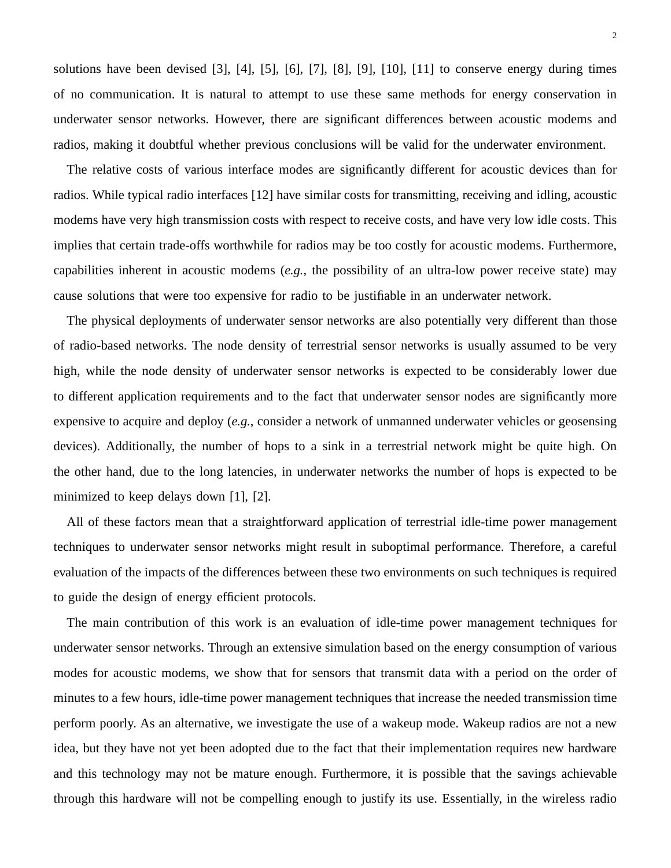solutions have been devised  $[3]$ ,  $[4]$ ,  $[5]$ ,  $[6]$ ,  $[7]$ ,  $[8]$ ,  $[9]$ ,  $[10]$ ,  $[11]$  to conserve energy during times of no communication. It is natural to attempt to use these same methods for energy conservation in underwater sensor networks. However, there are significant differences between acoustic modems and radios, making it doubtful whether previous conclusions will be valid for the underwater environment.

The relative costs of various interface modes are significantly different for acoustic devices than for radios. While typical radio interfaces [12] have similar costs for transmitting, receiving and idling, acoustic modems have very high transmission costs with respect to receive costs, and have very low idle costs. This implies that certain trade-offs worthwhile for radios may be too costly for acoustic modems. Furthermore, capabilities inherent in acoustic modems (*e.g.*, the possibility of an ultra-low power receive state) may cause solutions that were too expensive for radio to be justifiable in an underwater network.

The physical deployments of underwater sensor networks are also potentially very different than those of radio-based networks. The node density of terrestrial sensor networks is usually assumed to be very high, while the node density of underwater sensor networks is expected to be considerably lower due to different application requirements and to the fact that underwater sensor nodes are significantly more expensive to acquire and deploy (*e.g.*, consider a network of unmanned underwater vehicles or geosensing devices). Additionally, the number of hops to a sink in a terrestrial network might be quite high. On the other hand, due to the long latencies, in underwater networks the number of hops is expected to be minimized to keep delays down [1], [2].

All of these factors mean that a straightforward application of terrestrial idle-time power management techniques to underwater sensor networks might result in suboptimal performance. Therefore, a careful evaluation of the impacts of the differences between these two environments on such techniques is required to guide the design of energy efficient protocols.

The main contribution of this work is an evaluation of idle-time power management techniques for underwater sensor networks. Through an extensive simulation based on the energy consumption of various modes for acoustic modems, we show that for sensors that transmit data with a period on the order of minutes to a few hours, idle-time power management techniques that increase the needed transmission time perform poorly. As an alternative, we investigate the use of a wakeup mode. Wakeup radios are not a new idea, but they have not yet been adopted due to the fact that their implementation requires new hardware and this technology may not be mature enough. Furthermore, it is possible that the savings achievable through this hardware will not be compelling enough to justify its use. Essentially, in the wireless radio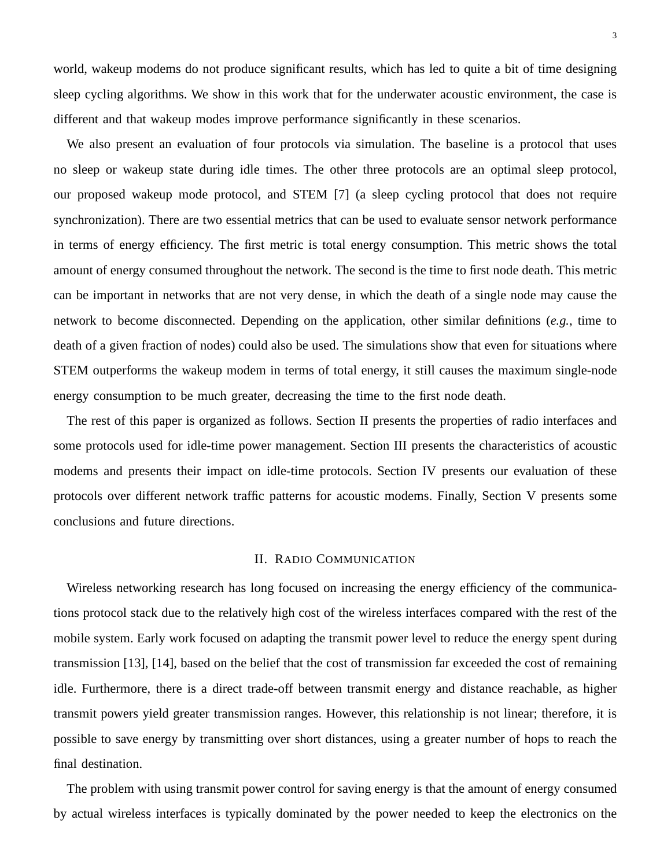world, wakeup modems do not produce significant results, which has led to quite a bit of time designing sleep cycling algorithms. We show in this work that for the underwater acoustic environment, the case is different and that wakeup modes improve performance significantly in these scenarios.

We also present an evaluation of four protocols via simulation. The baseline is a protocol that uses no sleep or wakeup state during idle times. The other three protocols are an optimal sleep protocol, our proposed wakeup mode protocol, and STEM [7] (a sleep cycling protocol that does not require synchronization). There are two essential metrics that can be used to evaluate sensor network performance in terms of energy efficiency. The first metric is total energy consumption. This metric shows the total amount of energy consumed throughout the network. The second is the time to first node death. This metric can be important in networks that are not very dense, in which the death of a single node may cause the network to become disconnected. Depending on the application, other similar definitions (*e.g.*, time to death of a given fraction of nodes) could also be used. The simulations show that even for situations where STEM outperforms the wakeup modem in terms of total energy, it still causes the maximum single-node energy consumption to be much greater, decreasing the time to the first node death.

The rest of this paper is organized as follows. Section II presents the properties of radio interfaces and some protocols used for idle-time power management. Section III presents the characteristics of acoustic modems and presents their impact on idle-time protocols. Section IV presents our evaluation of these protocols over different network traffic patterns for acoustic modems. Finally, Section V presents some conclusions and future directions.

#### II. RADIO COMMUNICATION

Wireless networking research has long focused on increasing the energy efficiency of the communications protocol stack due to the relatively high cost of the wireless interfaces compared with the rest of the mobile system. Early work focused on adapting the transmit power level to reduce the energy spent during transmission [13], [14], based on the belief that the cost of transmission far exceeded the cost of remaining idle. Furthermore, there is a direct trade-off between transmit energy and distance reachable, as higher transmit powers yield greater transmission ranges. However, this relationship is not linear; therefore, it is possible to save energy by transmitting over short distances, using a greater number of hops to reach the final destination.

The problem with using transmit power control for saving energy is that the amount of energy consumed by actual wireless interfaces is typically dominated by the power needed to keep the electronics on the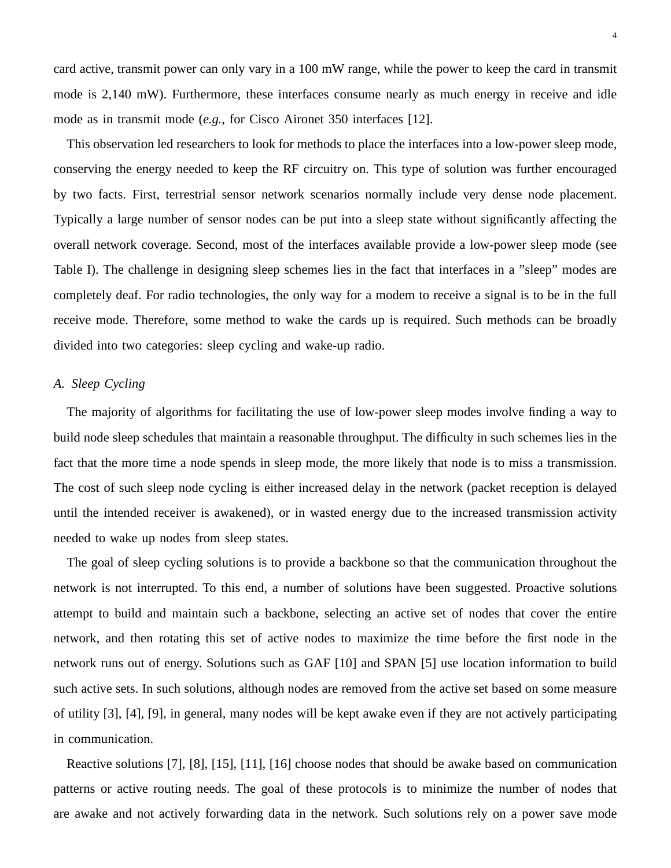card active, transmit power can only vary in a 100 mW range, while the power to keep the card in transmit mode is 2,140 mW). Furthermore, these interfaces consume nearly as much energy in receive and idle mode as in transmit mode (*e.g.*, for Cisco Aironet 350 interfaces [12].

This observation led researchers to look for methods to place the interfaces into a low-power sleep mode, conserving the energy needed to keep the RF circuitry on. This type of solution was further encouraged by two facts. First, terrestrial sensor network scenarios normally include very dense node placement. Typically a large number of sensor nodes can be put into a sleep state without significantly affecting the overall network coverage. Second, most of the interfaces available provide a low-power sleep mode (see Table I). The challenge in designing sleep schemes lies in the fact that interfaces in a "sleep" modes are completely deaf. For radio technologies, the only way for a modem to receive a signal is to be in the full receive mode. Therefore, some method to wake the cards up is required. Such methods can be broadly divided into two categories: sleep cycling and wake-up radio.

# *A. Sleep Cycling*

The majority of algorithms for facilitating the use of low-power sleep modes involve finding a way to build node sleep schedules that maintain a reasonable throughput. The difficulty in such schemes lies in the fact that the more time a node spends in sleep mode, the more likely that node is to miss a transmission. The cost of such sleep node cycling is either increased delay in the network (packet reception is delayed until the intended receiver is awakened), or in wasted energy due to the increased transmission activity needed to wake up nodes from sleep states.

The goal of sleep cycling solutions is to provide a backbone so that the communication throughout the network is not interrupted. To this end, a number of solutions have been suggested. Proactive solutions attempt to build and maintain such a backbone, selecting an active set of nodes that cover the entire network, and then rotating this set of active nodes to maximize the time before the first node in the network runs out of energy. Solutions such as GAF [10] and SPAN [5] use location information to build such active sets. In such solutions, although nodes are removed from the active set based on some measure of utility [3], [4], [9], in general, many nodes will be kept awake even if they are not actively participating in communication.

Reactive solutions [7], [8], [15], [11], [16] choose nodes that should be awake based on communication patterns or active routing needs. The goal of these protocols is to minimize the number of nodes that are awake and not actively forwarding data in the network. Such solutions rely on a power save mode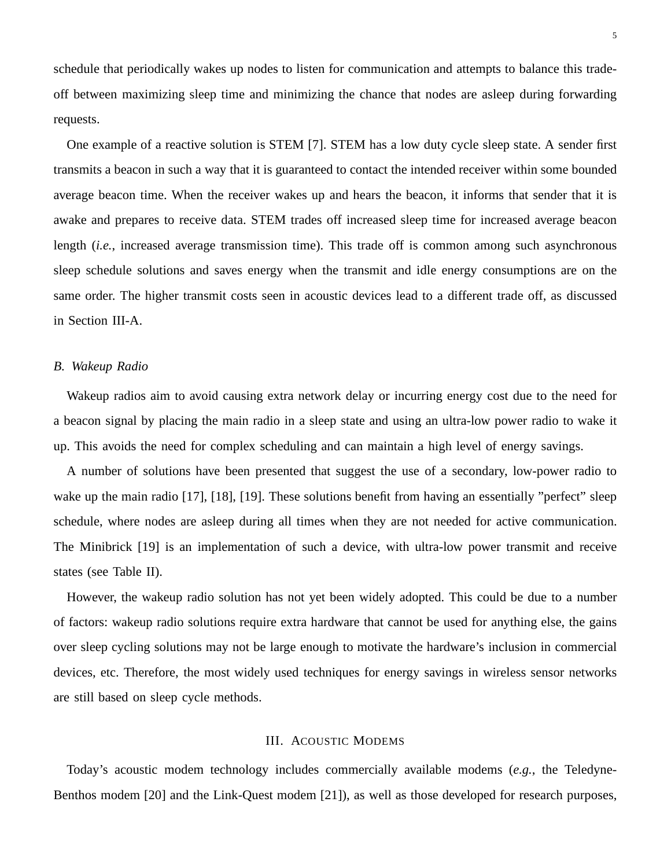schedule that periodically wakes up nodes to listen for communication and attempts to balance this tradeoff between maximizing sleep time and minimizing the chance that nodes are asleep during forwarding requests.

One example of a reactive solution is STEM [7]. STEM has a low duty cycle sleep state. A sender first transmits a beacon in such a way that it is guaranteed to contact the intended receiver within some bounded average beacon time. When the receiver wakes up and hears the beacon, it informs that sender that it is awake and prepares to receive data. STEM trades off increased sleep time for increased average beacon length (*i.e.*, increased average transmission time). This trade off is common among such asynchronous sleep schedule solutions and saves energy when the transmit and idle energy consumptions are on the same order. The higher transmit costs seen in acoustic devices lead to a different trade off, as discussed in Section III-A.

#### *B. Wakeup Radio*

Wakeup radios aim to avoid causing extra network delay or incurring energy cost due to the need for a beacon signal by placing the main radio in a sleep state and using an ultra-low power radio to wake it up. This avoids the need for complex scheduling and can maintain a high level of energy savings.

A number of solutions have been presented that suggest the use of a secondary, low-power radio to wake up the main radio [17], [18], [19]. These solutions benefit from having an essentially "perfect" sleep schedule, where nodes are asleep during all times when they are not needed for active communication. The Minibrick [19] is an implementation of such a device, with ultra-low power transmit and receive states (see Table II).

However, the wakeup radio solution has not yet been widely adopted. This could be due to a number of factors: wakeup radio solutions require extra hardware that cannot be used for anything else, the gains over sleep cycling solutions may not be large enough to motivate the hardware's inclusion in commercial devices, etc. Therefore, the most widely used techniques for energy savings in wireless sensor networks are still based on sleep cycle methods.

## III. ACOUSTIC MODEMS

Today's acoustic modem technology includes commercially available modems (*e.g.*, the Teledyne-Benthos modem [20] and the Link-Quest modem [21]), as well as those developed for research purposes,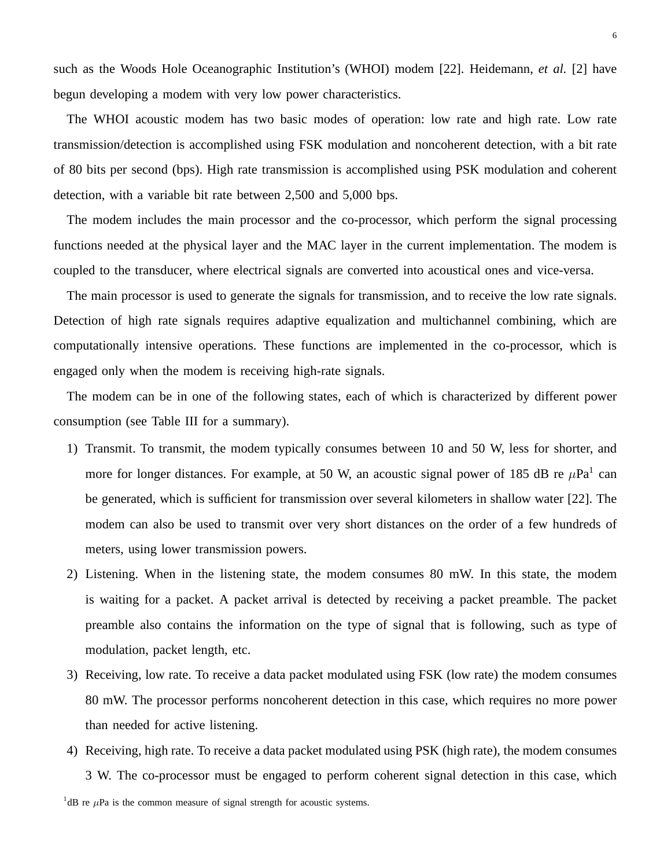such as the Woods Hole Oceanographic Institution's (WHOI) modem [22]. Heidemann, *et al.* [2] have begun developing a modem with very low power characteristics.

The WHOI acoustic modem has two basic modes of operation: low rate and high rate. Low rate transmission/detection is accomplished using FSK modulation and noncoherent detection, with a bit rate of 80 bits per second (bps). High rate transmission is accomplished using PSK modulation and coherent detection, with a variable bit rate between 2,500 and 5,000 bps.

The modem includes the main processor and the co-processor, which perform the signal processing functions needed at the physical layer and the MAC layer in the current implementation. The modem is coupled to the transducer, where electrical signals are converted into acoustical ones and vice-versa.

The main processor is used to generate the signals for transmission, and to receive the low rate signals. Detection of high rate signals requires adaptive equalization and multichannel combining, which are computationally intensive operations. These functions are implemented in the co-processor, which is engaged only when the modem is receiving high-rate signals.

The modem can be in one of the following states, each of which is characterized by different power consumption (see Table III for a summary).

- 1) Transmit. To transmit, the modem typically consumes between 10 and 50 W, less for shorter, and more for longer distances. For example, at 50 W, an acoustic signal power of 185 dB re  $\mu$ Pa<sup>1</sup> can be generated, which is sufficient for transmission over several kilometers in shallow water [22]. The modem can also be used to transmit over very short distances on the order of a few hundreds of meters, using lower transmission powers.
- 2) Listening. When in the listening state, the modem consumes 80 mW. In this state, the modem is waiting for a packet. A packet arrival is detected by receiving a packet preamble. The packet preamble also contains the information on the type of signal that is following, such as type of modulation, packet length, etc.
- 3) Receiving, low rate. To receive a data packet modulated using FSK (low rate) the modem consumes 80 mW. The processor performs noncoherent detection in this case, which requires no more power than needed for active listening.
- 4) Receiving, high rate. To receive a data packet modulated using PSK (high rate), the modem consumes 3 W. The co-processor must be engaged to perform coherent signal detection in this case, which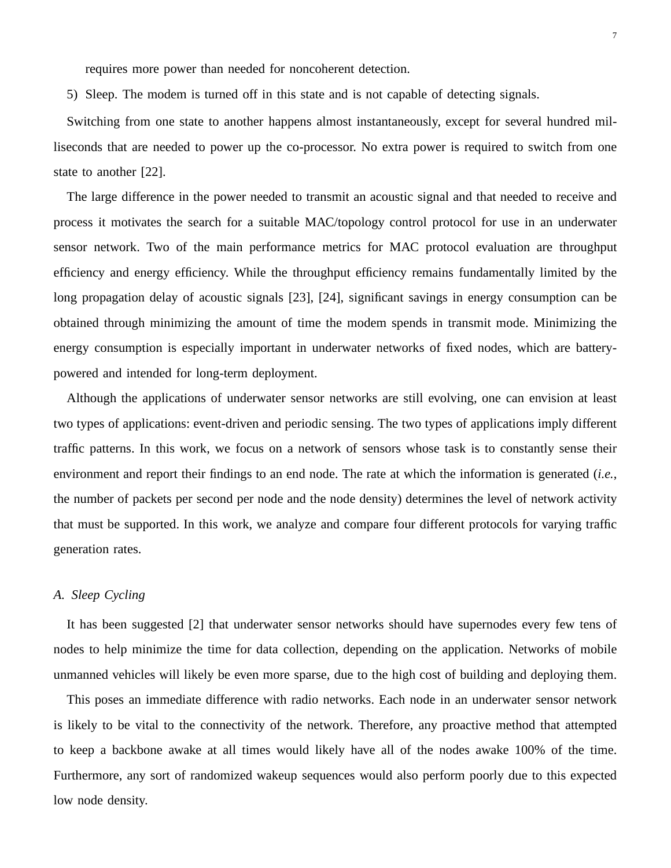requires more power than needed for noncoherent detection.

5) Sleep. The modem is turned off in this state and is not capable of detecting signals.

Switching from one state to another happens almost instantaneously, except for several hundred milliseconds that are needed to power up the co-processor. No extra power is required to switch from one state to another [22].

The large difference in the power needed to transmit an acoustic signal and that needed to receive and process it motivates the search for a suitable MAC/topology control protocol for use in an underwater sensor network. Two of the main performance metrics for MAC protocol evaluation are throughput efficiency and energy efficiency. While the throughput efficiency remains fundamentally limited by the long propagation delay of acoustic signals [23], [24], significant savings in energy consumption can be obtained through minimizing the amount of time the modem spends in transmit mode. Minimizing the energy consumption is especially important in underwater networks of fixed nodes, which are batterypowered and intended for long-term deployment.

Although the applications of underwater sensor networks are still evolving, one can envision at least two types of applications: event-driven and periodic sensing. The two types of applications imply different traffic patterns. In this work, we focus on a network of sensors whose task is to constantly sense their environment and report their findings to an end node. The rate at which the information is generated (*i.e.*, the number of packets per second per node and the node density) determines the level of network activity that must be supported. In this work, we analyze and compare four different protocols for varying traffic generation rates.

# *A. Sleep Cycling*

It has been suggested [2] that underwater sensor networks should have supernodes every few tens of nodes to help minimize the time for data collection, depending on the application. Networks of mobile unmanned vehicles will likely be even more sparse, due to the high cost of building and deploying them.

This poses an immediate difference with radio networks. Each node in an underwater sensor network is likely to be vital to the connectivity of the network. Therefore, any proactive method that attempted to keep a backbone awake at all times would likely have all of the nodes awake 100% of the time. Furthermore, any sort of randomized wakeup sequences would also perform poorly due to this expected low node density.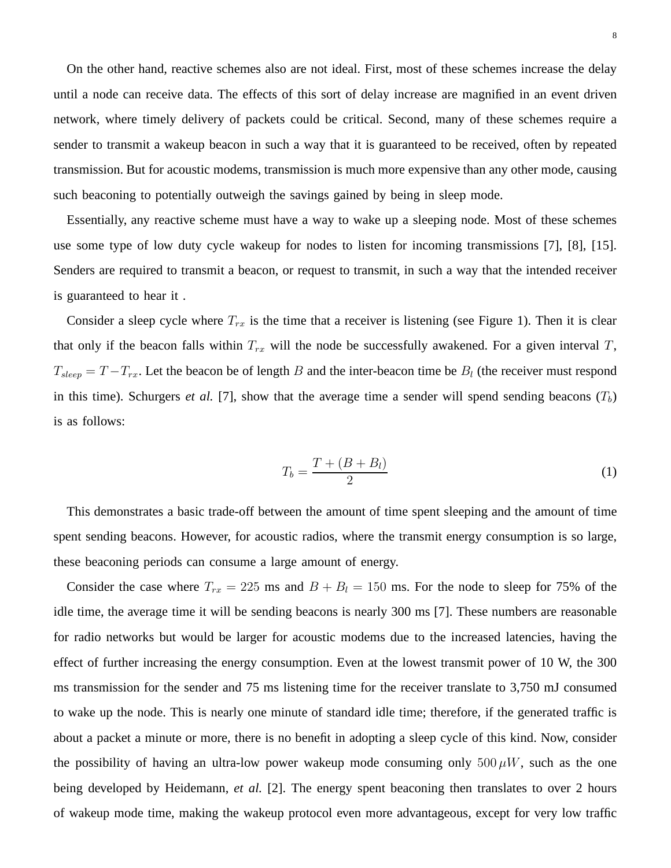On the other hand, reactive schemes also are not ideal. First, most of these schemes increase the delay until a node can receive data. The effects of this sort of delay increase are magnified in an event driven network, where timely delivery of packets could be critical. Second, many of these schemes require a sender to transmit a wakeup beacon in such a way that it is guaranteed to be received, often by repeated transmission. But for acoustic modems, transmission is much more expensive than any other mode, causing such beaconing to potentially outweigh the savings gained by being in sleep mode.

Essentially, any reactive scheme must have a way to wake up a sleeping node. Most of these schemes use some type of low duty cycle wakeup for nodes to listen for incoming transmissions [7], [8], [15]. Senders are required to transmit a beacon, or request to transmit, in such a way that the intended receiver is guaranteed to hear it .

Consider a sleep cycle where  $T_{rx}$  is the time that a receiver is listening (see Figure 1). Then it is clear that only if the beacon falls within  $T_{rx}$  will the node be successfully awakened. For a given interval T,  $T_{sleep} = T - T_{rx}$ . Let the beacon be of length B and the inter-beacon time be  $B_l$  (the receiver must respond in this time). Schurgers *et al.* [7], show that the average time a sender will spend sending beacons  $(T_b)$ is as follows:

$$
T_b = \frac{T + (B + B_l)}{2} \tag{1}
$$

This demonstrates a basic trade-off between the amount of time spent sleeping and the amount of time spent sending beacons. However, for acoustic radios, where the transmit energy consumption is so large, these beaconing periods can consume a large amount of energy.

Consider the case where  $T_{rx} = 225$  ms and  $B + B_l = 150$  ms. For the node to sleep for 75% of the idle time, the average time it will be sending beacons is nearly 300 ms [7]. These numbers are reasonable for radio networks but would be larger for acoustic modems due to the increased latencies, having the effect of further increasing the energy consumption. Even at the lowest transmit power of 10 W, the 300 ms transmission for the sender and 75 ms listening time for the receiver translate to 3,750 mJ consumed to wake up the node. This is nearly one minute of standard idle time; therefore, if the generated traffic is about a packet a minute or more, there is no benefit in adopting a sleep cycle of this kind. Now, consider the possibility of having an ultra-low power wakeup mode consuming only 500  $\mu$ W, such as the one being developed by Heidemann, *et al.* [2]. The energy spent beaconing then translates to over 2 hours of wakeup mode time, making the wakeup protocol even more advantageous, except for very low traffic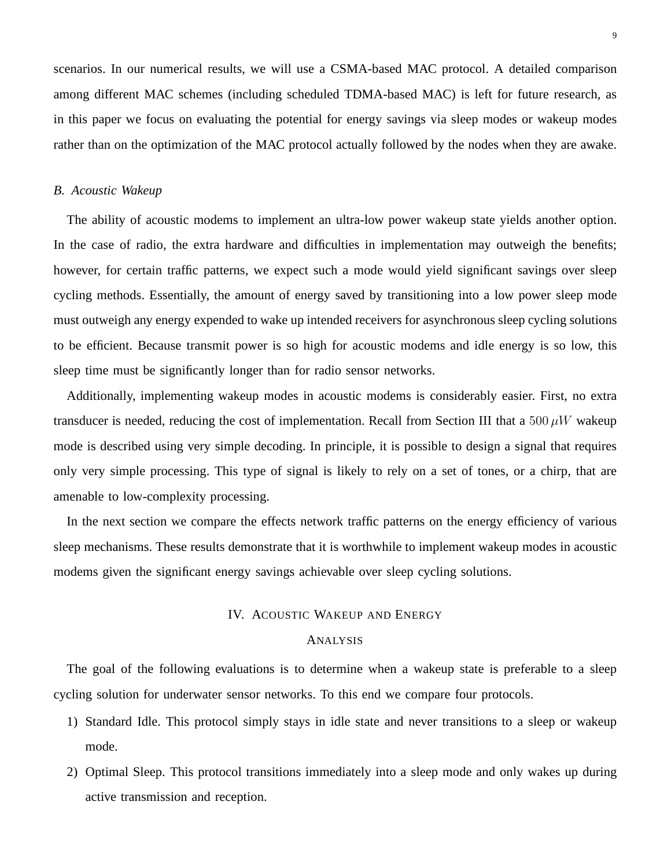scenarios. In our numerical results, we will use a CSMA-based MAC protocol. A detailed comparison among different MAC schemes (including scheduled TDMA-based MAC) is left for future research, as in this paper we focus on evaluating the potential for energy savings via sleep modes or wakeup modes rather than on the optimization of the MAC protocol actually followed by the nodes when they are awake.

## *B. Acoustic Wakeup*

The ability of acoustic modems to implement an ultra-low power wakeup state yields another option. In the case of radio, the extra hardware and difficulties in implementation may outweigh the benefits; however, for certain traffic patterns, we expect such a mode would yield significant savings over sleep cycling methods. Essentially, the amount of energy saved by transitioning into a low power sleep mode must outweigh any energy expended to wake up intended receivers for asynchronous sleep cycling solutions to be efficient. Because transmit power is so high for acoustic modems and idle energy is so low, this sleep time must be significantly longer than for radio sensor networks.

Additionally, implementing wakeup modes in acoustic modems is considerably easier. First, no extra transducer is needed, reducing the cost of implementation. Recall from Section III that a 500  $\mu$ W wakeup mode is described using very simple decoding. In principle, it is possible to design a signal that requires only very simple processing. This type of signal is likely to rely on a set of tones, or a chirp, that are amenable to low-complexity processing.

In the next section we compare the effects network traffic patterns on the energy efficiency of various sleep mechanisms. These results demonstrate that it is worthwhile to implement wakeup modes in acoustic modems given the significant energy savings achievable over sleep cycling solutions.

## IV. ACOUSTIC WAKEUP AND ENERGY

# ANALYSIS

The goal of the following evaluations is to determine when a wakeup state is preferable to a sleep cycling solution for underwater sensor networks. To this end we compare four protocols.

- 1) Standard Idle. This protocol simply stays in idle state and never transitions to a sleep or wakeup mode.
- 2) Optimal Sleep. This protocol transitions immediately into a sleep mode and only wakes up during active transmission and reception.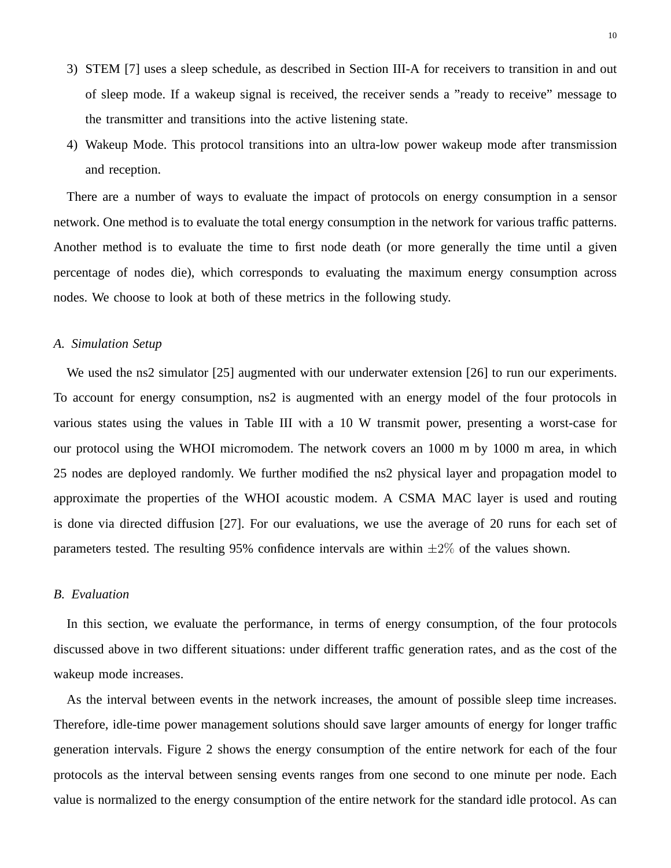- 3) STEM [7] uses a sleep schedule, as described in Section III-A for receivers to transition in and out of sleep mode. If a wakeup signal is received, the receiver sends a "ready to receive" message to the transmitter and transitions into the active listening state.
- 4) Wakeup Mode. This protocol transitions into an ultra-low power wakeup mode after transmission and reception.

There are a number of ways to evaluate the impact of protocols on energy consumption in a sensor network. One method is to evaluate the total energy consumption in the network for various traffic patterns. Another method is to evaluate the time to first node death (or more generally the time until a given percentage of nodes die), which corresponds to evaluating the maximum energy consumption across nodes. We choose to look at both of these metrics in the following study.

### *A. Simulation Setup*

We used the ns2 simulator [25] augmented with our underwater extension [26] to run our experiments. To account for energy consumption, ns2 is augmented with an energy model of the four protocols in various states using the values in Table III with a 10 W transmit power, presenting a worst-case for our protocol using the WHOI micromodem. The network covers an 1000 m by 1000 m area, in which 25 nodes are deployed randomly. We further modified the ns2 physical layer and propagation model to approximate the properties of the WHOI acoustic modem. A CSMA MAC layer is used and routing is done via directed diffusion [27]. For our evaluations, we use the average of 20 runs for each set of parameters tested. The resulting 95% confidence intervals are within  $\pm 2\%$  of the values shown.

#### *B. Evaluation*

In this section, we evaluate the performance, in terms of energy consumption, of the four protocols discussed above in two different situations: under different traffic generation rates, and as the cost of the wakeup mode increases.

As the interval between events in the network increases, the amount of possible sleep time increases. Therefore, idle-time power management solutions should save larger amounts of energy for longer traffic generation intervals. Figure 2 shows the energy consumption of the entire network for each of the four protocols as the interval between sensing events ranges from one second to one minute per node. Each value is normalized to the energy consumption of the entire network for the standard idle protocol. As can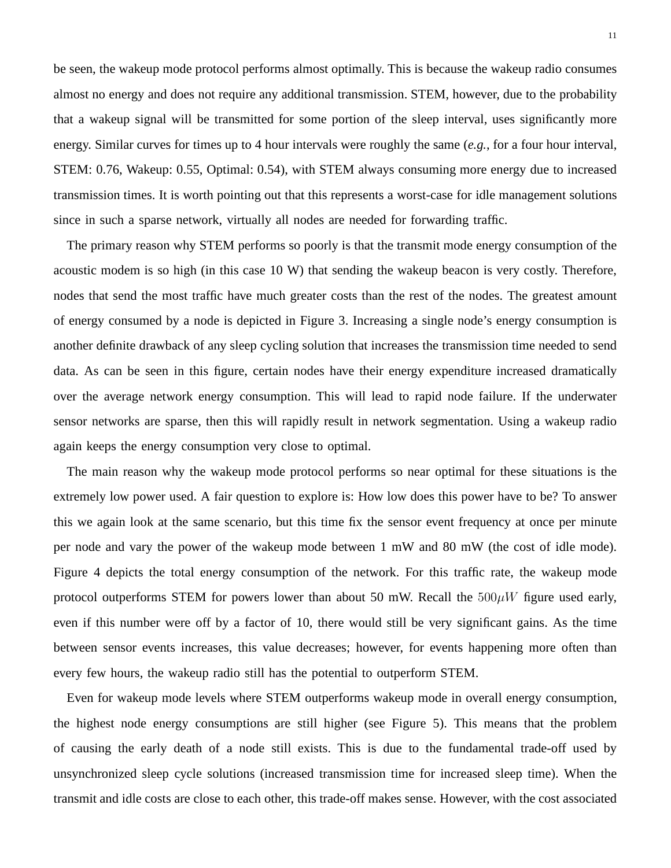be seen, the wakeup mode protocol performs almost optimally. This is because the wakeup radio consumes almost no energy and does not require any additional transmission. STEM, however, due to the probability that a wakeup signal will be transmitted for some portion of the sleep interval, uses significantly more energy. Similar curves for times up to 4 hour intervals were roughly the same (*e.g.*, for a four hour interval, STEM: 0.76, Wakeup: 0.55, Optimal: 0.54), with STEM always consuming more energy due to increased transmission times. It is worth pointing out that this represents a worst-case for idle management solutions since in such a sparse network, virtually all nodes are needed for forwarding traffic.

The primary reason why STEM performs so poorly is that the transmit mode energy consumption of the acoustic modem is so high (in this case 10 W) that sending the wakeup beacon is very costly. Therefore, nodes that send the most traffic have much greater costs than the rest of the nodes. The greatest amount of energy consumed by a node is depicted in Figure 3. Increasing a single node's energy consumption is another definite drawback of any sleep cycling solution that increases the transmission time needed to send data. As can be seen in this figure, certain nodes have their energy expenditure increased dramatically over the average network energy consumption. This will lead to rapid node failure. If the underwater sensor networks are sparse, then this will rapidly result in network segmentation. Using a wakeup radio again keeps the energy consumption very close to optimal.

The main reason why the wakeup mode protocol performs so near optimal for these situations is the extremely low power used. A fair question to explore is: How low does this power have to be? To answer this we again look at the same scenario, but this time fix the sensor event frequency at once per minute per node and vary the power of the wakeup mode between 1 mW and 80 mW (the cost of idle mode). Figure 4 depicts the total energy consumption of the network. For this traffic rate, the wakeup mode protocol outperforms STEM for powers lower than about 50 mW. Recall the  $500\mu W$  figure used early, even if this number were off by a factor of 10, there would still be very significant gains. As the time between sensor events increases, this value decreases; however, for events happening more often than every few hours, the wakeup radio still has the potential to outperform STEM.

Even for wakeup mode levels where STEM outperforms wakeup mode in overall energy consumption, the highest node energy consumptions are still higher (see Figure 5). This means that the problem of causing the early death of a node still exists. This is due to the fundamental trade-off used by unsynchronized sleep cycle solutions (increased transmission time for increased sleep time). When the transmit and idle costs are close to each other, this trade-off makes sense. However, with the cost associated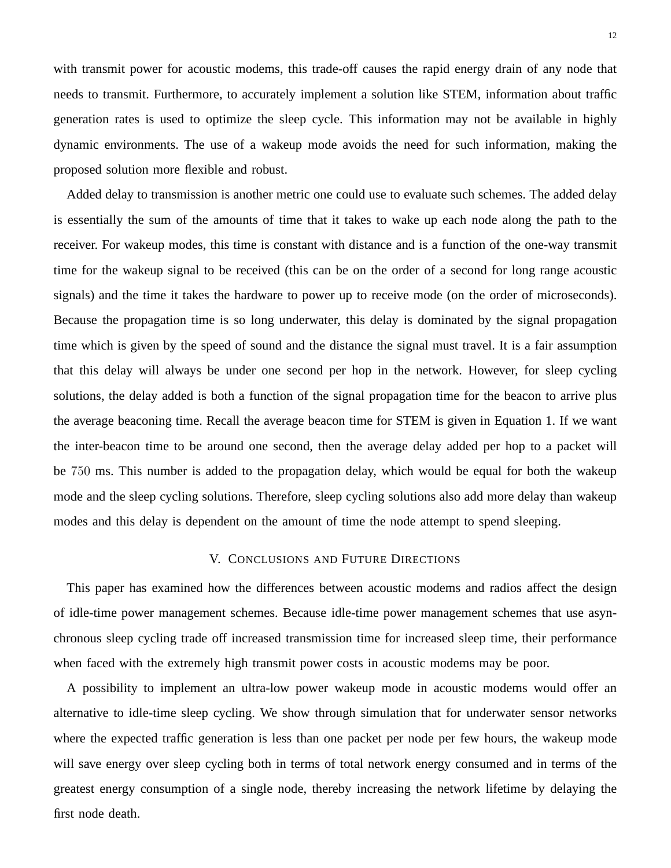with transmit power for acoustic modems, this trade-off causes the rapid energy drain of any node that needs to transmit. Furthermore, to accurately implement a solution like STEM, information about traffic generation rates is used to optimize the sleep cycle. This information may not be available in highly dynamic environments. The use of a wakeup mode avoids the need for such information, making the proposed solution more flexible and robust.

Added delay to transmission is another metric one could use to evaluate such schemes. The added delay is essentially the sum of the amounts of time that it takes to wake up each node along the path to the receiver. For wakeup modes, this time is constant with distance and is a function of the one-way transmit time for the wakeup signal to be received (this can be on the order of a second for long range acoustic signals) and the time it takes the hardware to power up to receive mode (on the order of microseconds). Because the propagation time is so long underwater, this delay is dominated by the signal propagation time which is given by the speed of sound and the distance the signal must travel. It is a fair assumption that this delay will always be under one second per hop in the network. However, for sleep cycling solutions, the delay added is both a function of the signal propagation time for the beacon to arrive plus the average beaconing time. Recall the average beacon time for STEM is given in Equation 1. If we want the inter-beacon time to be around one second, then the average delay added per hop to a packet will be 750 ms. This number is added to the propagation delay, which would be equal for both the wakeup mode and the sleep cycling solutions. Therefore, sleep cycling solutions also add more delay than wakeup modes and this delay is dependent on the amount of time the node attempt to spend sleeping.

## V. CONCLUSIONS AND FUTURE DIRECTIONS

This paper has examined how the differences between acoustic modems and radios affect the design of idle-time power management schemes. Because idle-time power management schemes that use asynchronous sleep cycling trade off increased transmission time for increased sleep time, their performance when faced with the extremely high transmit power costs in acoustic modems may be poor.

A possibility to implement an ultra-low power wakeup mode in acoustic modems would offer an alternative to idle-time sleep cycling. We show through simulation that for underwater sensor networks where the expected traffic generation is less than one packet per node per few hours, the wakeup mode will save energy over sleep cycling both in terms of total network energy consumed and in terms of the greatest energy consumption of a single node, thereby increasing the network lifetime by delaying the first node death.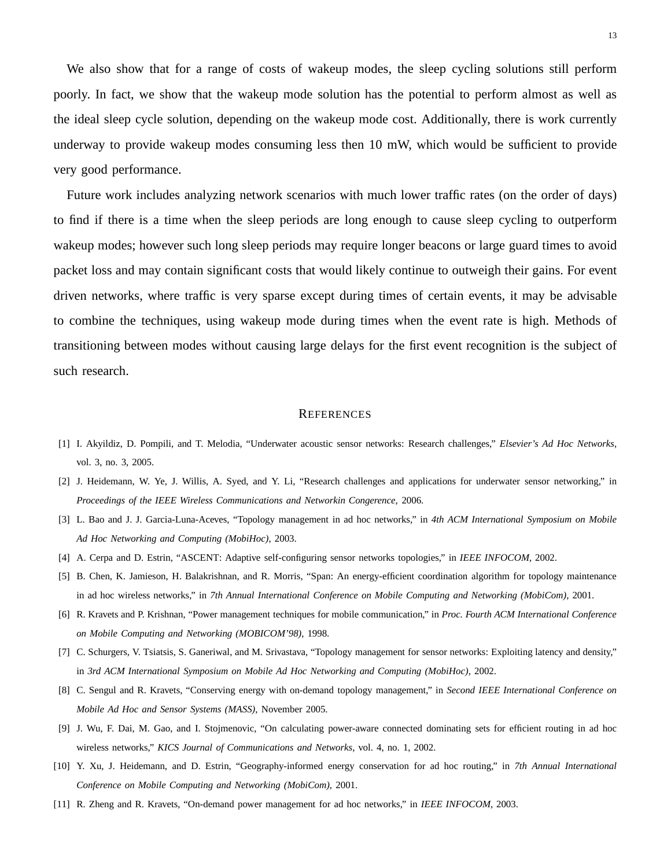We also show that for a range of costs of wakeup modes, the sleep cycling solutions still perform poorly. In fact, we show that the wakeup mode solution has the potential to perform almost as well as the ideal sleep cycle solution, depending on the wakeup mode cost. Additionally, there is work currently underway to provide wakeup modes consuming less then 10 mW, which would be sufficient to provide very good performance.

Future work includes analyzing network scenarios with much lower traffic rates (on the order of days) to find if there is a time when the sleep periods are long enough to cause sleep cycling to outperform wakeup modes; however such long sleep periods may require longer beacons or large guard times to avoid packet loss and may contain significant costs that would likely continue to outweigh their gains. For event driven networks, where traffic is very sparse except during times of certain events, it may be advisable to combine the techniques, using wakeup mode during times when the event rate is high. Methods of transitioning between modes without causing large delays for the first event recognition is the subject of such research.

#### **REFERENCES**

- [1] I. Akyildiz, D. Pompili, and T. Melodia, "Underwater acoustic sensor networks: Research challenges," *Elsevier's Ad Hoc Networks*, vol. 3, no. 3, 2005.
- [2] J. Heidemann, W. Ye, J. Willis, A. Syed, and Y. Li, "Research challenges and applications for underwater sensor networking," in *Proceedings of the IEEE Wireless Communications and Networkin Congerence*, 2006.
- [3] L. Bao and J. J. Garcia-Luna-Aceves, "Topology management in ad hoc networks," in *4th ACM International Symposium on Mobile Ad Hoc Networking and Computing (MobiHoc)*, 2003.
- [4] A. Cerpa and D. Estrin, "ASCENT: Adaptive self-configuring sensor networks topologies," in *IEEE INFOCOM*, 2002.
- [5] B. Chen, K. Jamieson, H. Balakrishnan, and R. Morris, "Span: An energy-efficient coordination algorithm for topology maintenance in ad hoc wireless networks," in *7th Annual International Conference on Mobile Computing and Networking (MobiCom)*, 2001.
- [6] R. Kravets and P. Krishnan, "Power management techniques for mobile communication," in *Proc. Fourth ACM International Conference on Mobile Computing and Networking (MOBICOM'98)*, 1998.
- [7] C. Schurgers, V. Tsiatsis, S. Ganeriwal, and M. Srivastava, "Topology management for sensor networks: Exploiting latency and density," in *3rd ACM International Symposium on Mobile Ad Hoc Networking and Computing (MobiHoc)*, 2002.
- [8] C. Sengul and R. Kravets, "Conserving energy with on-demand topology management," in *Second IEEE International Conference on Mobile Ad Hoc and Sensor Systems (MASS)*, November 2005.
- [9] J. Wu, F. Dai, M. Gao, and I. Stojmenovic, "On calculating power-aware connected dominating sets for efficient routing in ad hoc wireless networks," *KICS Journal of Communications and Networks*, vol. 4, no. 1, 2002.
- [10] Y. Xu, J. Heidemann, and D. Estrin, "Geography-informed energy conservation for ad hoc routing," in *7th Annual International Conference on Mobile Computing and Networking (MobiCom)*, 2001.
- [11] R. Zheng and R. Kravets, "On-demand power management for ad hoc networks," in *IEEE INFOCOM*, 2003.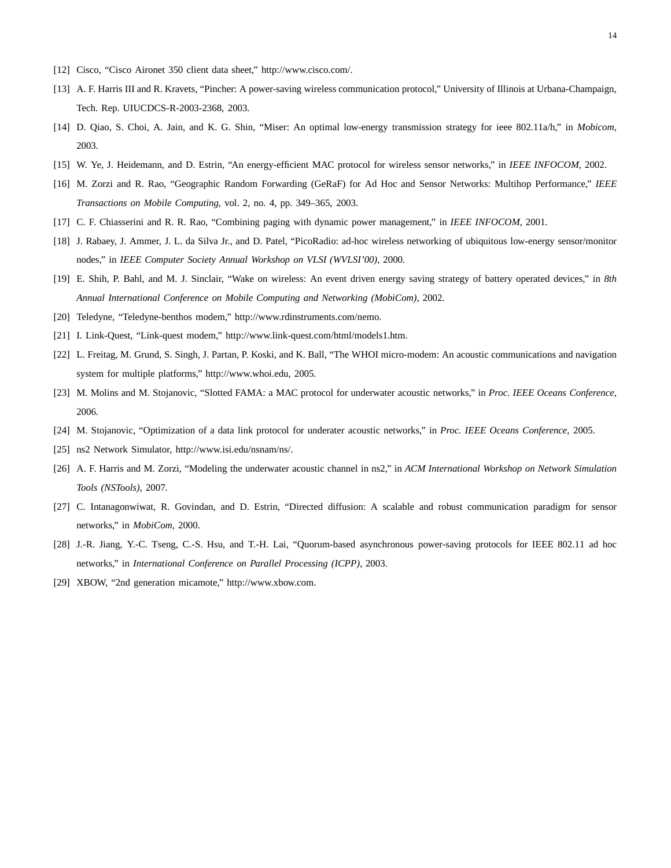- [12] Cisco, "Cisco Aironet 350 client data sheet," http://www.cisco.com/.
- [13] A. F. Harris III and R. Kravets, "Pincher: A power-saving wireless communication protocol," University of Illinois at Urbana-Champaign, Tech. Rep. UIUCDCS-R-2003-2368, 2003.
- [14] D. Qiao, S. Choi, A. Jain, and K. G. Shin, "Miser: An optimal low-energy transmission strategy for ieee 802.11a/h," in *Mobicom*, 2003.
- [15] W. Ye, J. Heidemann, and D. Estrin, "An energy-efficient MAC protocol for wireless sensor networks," in *IEEE INFOCOM*, 2002.
- [16] M. Zorzi and R. Rao, "Geographic Random Forwarding (GeRaF) for Ad Hoc and Sensor Networks: Multihop Performance," *IEEE Transactions on Mobile Computing*, vol. 2, no. 4, pp. 349–365, 2003.
- [17] C. F. Chiasserini and R. R. Rao, "Combining paging with dynamic power management," in *IEEE INFOCOM*, 2001.
- [18] J. Rabaey, J. Ammer, J. L. da Silva Jr., and D. Patel, "PicoRadio: ad-hoc wireless networking of ubiquitous low-energy sensor/monitor nodes," in *IEEE Computer Society Annual Workshop on VLSI (WVLSI'00)*, 2000.
- [19] E. Shih, P. Bahl, and M. J. Sinclair, "Wake on wireless: An event driven energy saving strategy of battery operated devices," in *8th Annual International Conference on Mobile Computing and Networking (MobiCom)*, 2002.
- [20] Teledyne, "Teledyne-benthos modem," http://www.rdinstruments.com/nemo.
- [21] I. Link-Quest, "Link-quest modem," http://www.link-quest.com/html/models1.htm.
- [22] L. Freitag, M. Grund, S. Singh, J. Partan, P. Koski, and K. Ball, "The WHOI micro-modem: An acoustic communications and navigation system for multiple platforms," http://www.whoi.edu, 2005.
- [23] M. Molins and M. Stojanovic, "Slotted FAMA: a MAC protocol for underwater acoustic networks," in *Proc. IEEE Oceans Conference*, 2006.
- [24] M. Stojanovic, "Optimization of a data link protocol for underater acoustic networks," in *Proc. IEEE Oceans Conference*, 2005.
- [25] ns2 Network Simulator, http://www.isi.edu/nsnam/ns/.
- [26] A. F. Harris and M. Zorzi, "Modeling the underwater acoustic channel in ns2," in *ACM International Workshop on Network Simulation Tools (NSTools)*, 2007.
- [27] C. Intanagonwiwat, R. Govindan, and D. Estrin, "Directed diffusion: A scalable and robust communication paradigm for sensor networks," in *MobiCom*, 2000.
- [28] J.-R. Jiang, Y.-C. Tseng, C.-S. Hsu, and T.-H. Lai, "Quorum-based asynchronous power-saving protocols for IEEE 802.11 ad hoc networks," in *International Conference on Parallel Processing (ICPP)*, 2003.
- [29] XBOW, "2nd generation micamote," http://www.xbow.com.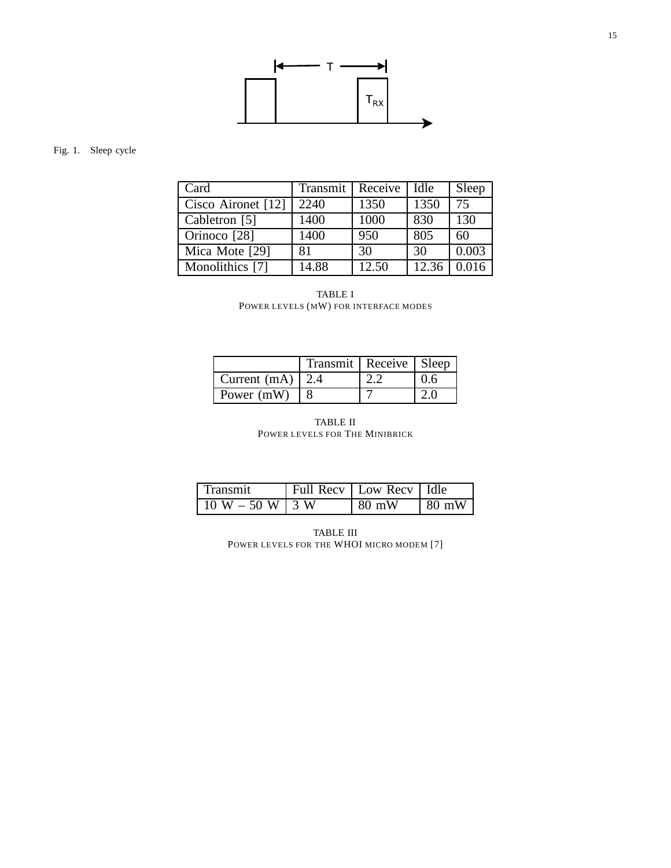

# Fig. 1. Sleep cycle

| Card                    | Transmit 1 | Receive | Idle  | Sleep |
|-------------------------|------------|---------|-------|-------|
| Cisco Aironet [12]      | 2240       | 1350    | 1350  | 75    |
| Cabletron [5]           | 1400       | 1000    | 830   | 130   |
| Orinoco <sup>[28]</sup> | 1400       | 950     | 805   | 60    |
| Mica Mote [29]          | 81         | 30      | 30    | 0.003 |
| Monolithics [7]         | 14.88      | 12.50   | 12.36 | 0.016 |

TABLE I POWER LEVELS (MW) FOR INTERFACE MODES

|                      | Transmit   Receive   Sleep |     |
|----------------------|----------------------------|-----|
| Current $(mA)$   2.4 |                            | 0.6 |
| Power (mW)           |                            | 2.0 |

TABLE II POWER LEVELS FOR THE MINIBRICK

| l Transmit        | Full Recy   Low Recy   Idle |                 |
|-------------------|-----------------------------|-----------------|
| $10 W - 50 W$ 3 W | $80 \text{ mW}$             | $80 \text{ mW}$ |

TABLE III POWER LEVELS FOR THE WHOI MICRO MODEM [7]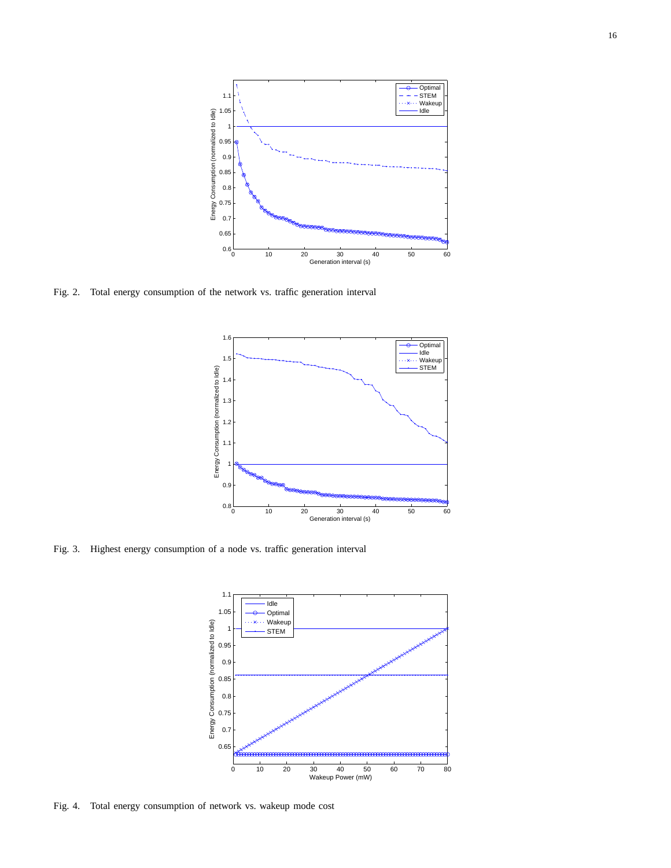

Fig. 2. Total energy consumption of the network vs. traffic generation interval



Fig. 3. Highest energy consumption of a node vs. traffic generation interval



Fig. 4. Total energy consumption of network vs. wakeup mode cost